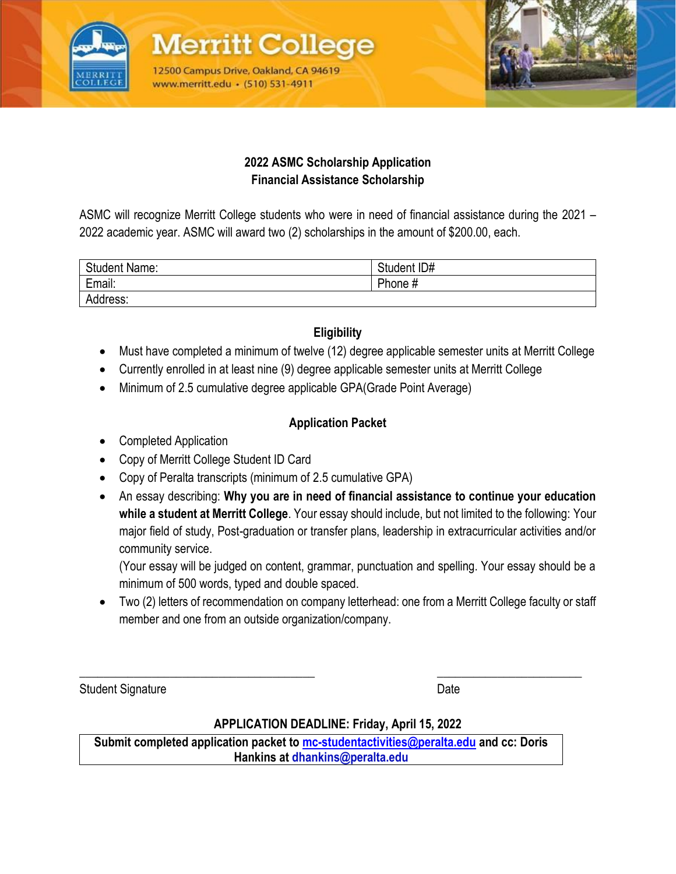

**Merritt Collec** 12500 Campus Drive, Oakland, CA 94619 www.merritt.edu • (510) 531-4911



#### **2022 ASMC Scholarship Application Financial Assistance Scholarship**

ASMC will recognize Merritt College students who were in need of financial assistance during the 2021 – 2022 academic year. ASMC will award two (2) scholarships in the amount of \$200.00, each.

| <b>Student Name:</b> | Student ID# |
|----------------------|-------------|
| Email:               | Phone #     |
| Address:             |             |

# **Eligibility**

- Must have completed a minimum of twelve (12) degree applicable semester units at Merritt College
- Currently enrolled in at least nine (9) degree applicable semester units at Merritt College
- Minimum of 2.5 cumulative degree applicable GPA(Grade Point Average)

## **Application Packet**

- Completed Application
- Copy of Merritt College Student ID Card
- Copy of Peralta transcripts (minimum of 2.5 cumulative GPA)
- An essay describing: **Why you are in need of financial assistance to continue your education while a student at Merritt College**. Your essay should include, but not limited to the following: Your major field of study, Post-graduation or transfer plans, leadership in extracurricular activities and/or community service.

(Your essay will be judged on content, grammar, punctuation and spelling. Your essay should be a minimum of 500 words, typed and double spaced.

• Two (2) letters of recommendation on company letterhead: one from a Merritt College faculty or staff member and one from an outside organization/company.

Student Signature Date Date Controllers and Date Date Date

## **APPLICATION DEADLINE: Friday, April 15, 2022**

\_\_\_\_\_\_\_\_\_\_\_\_\_\_\_\_\_\_\_\_\_\_\_\_\_\_\_\_\_\_\_\_\_\_\_\_\_\_\_ \_\_\_\_\_\_\_\_\_\_\_\_\_\_\_\_\_\_\_\_\_\_\_\_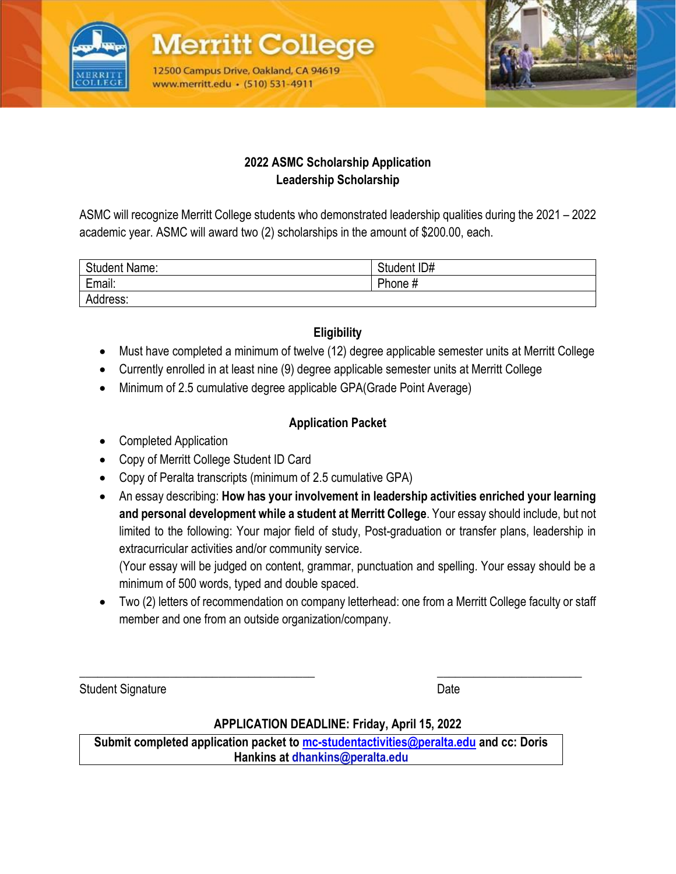

**Merritt Collec** 12500 Campus Drive, Oakland, CA 94619 www.merritt.edu • (510) 531-4911



#### **2022 ASMC Scholarship Application Leadership Scholarship**

ASMC will recognize Merritt College students who demonstrated leadership qualities during the 2021 – 2022 academic year. ASMC will award two (2) scholarships in the amount of \$200.00, each.

| <b>Student Name:</b> | Student ID# |
|----------------------|-------------|
| Email:               | Phone #     |
| Address:             |             |

# **Eligibility**

- Must have completed a minimum of twelve (12) degree applicable semester units at Merritt College
- Currently enrolled in at least nine (9) degree applicable semester units at Merritt College
- Minimum of 2.5 cumulative degree applicable GPA(Grade Point Average)

## **Application Packet**

- Completed Application
- Copy of Merritt College Student ID Card
- Copy of Peralta transcripts (minimum of 2.5 cumulative GPA)
- An essay describing: **How has your involvement in leadership activities enriched your learning and personal development while a student at Merritt College**. Your essay should include, but not limited to the following: Your major field of study, Post-graduation or transfer plans, leadership in extracurricular activities and/or community service.

(Your essay will be judged on content, grammar, punctuation and spelling. Your essay should be a minimum of 500 words, typed and double spaced.

• Two (2) letters of recommendation on company letterhead: one from a Merritt College faculty or staff member and one from an outside organization/company.

Student Signature Date

## **APPLICATION DEADLINE: Friday, April 15, 2022**

\_\_\_\_\_\_\_\_\_\_\_\_\_\_\_\_\_\_\_\_\_\_\_\_\_\_\_\_\_\_\_\_\_\_\_\_\_\_\_ \_\_\_\_\_\_\_\_\_\_\_\_\_\_\_\_\_\_\_\_\_\_\_\_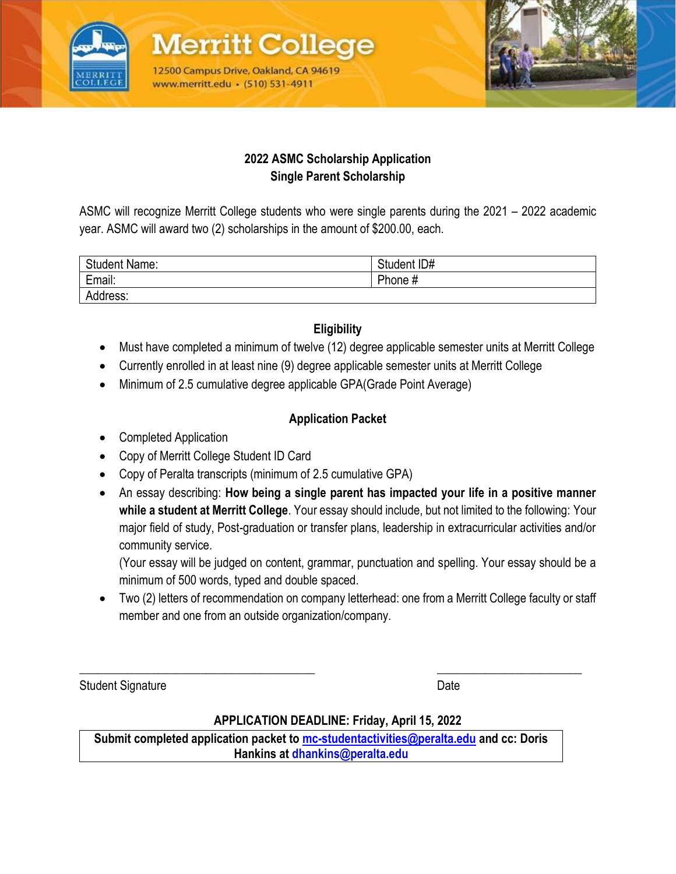

**Merritt Colle** 12500 Campus Drive, Oakland, CA 94619 www.merritt.edu • (510) 531-4911



#### **2022 ASMC Scholarship Application Single Parent Scholarship**

ASMC will recognize Merritt College students who were single parents during the 2021 – 2022 academic year. ASMC will award two (2) scholarships in the amount of \$200.00, each.

| <b>Student Name:</b> | Student ID# |
|----------------------|-------------|
| Email:               | Phone #     |
| Address:             |             |

## **Eligibility**

- Must have completed a minimum of twelve (12) degree applicable semester units at Merritt College
- Currently enrolled in at least nine (9) degree applicable semester units at Merritt College
- Minimum of 2.5 cumulative degree applicable GPA(Grade Point Average)

## **Application Packet**

- Completed Application
- Copy of Merritt College Student ID Card
- Copy of Peralta transcripts (minimum of 2.5 cumulative GPA)
- An essay describing: **How being a single parent has impacted your life in a positive manner while a student at Merritt College**. Your essay should include, but not limited to the following: Your major field of study, Post-graduation or transfer plans, leadership in extracurricular activities and/or community service.

(Your essay will be judged on content, grammar, punctuation and spelling. Your essay should be a minimum of 500 words, typed and double spaced.

• Two (2) letters of recommendation on company letterhead: one from a Merritt College faculty or staff member and one from an outside organization/company.

Student Signature Date Date Controllers and Date Date Date

## **APPLICATION DEADLINE: Friday, April 15, 2022**

\_\_\_\_\_\_\_\_\_\_\_\_\_\_\_\_\_\_\_\_\_\_\_\_\_\_\_\_\_\_\_\_\_\_\_\_\_\_\_ \_\_\_\_\_\_\_\_\_\_\_\_\_\_\_\_\_\_\_\_\_\_\_\_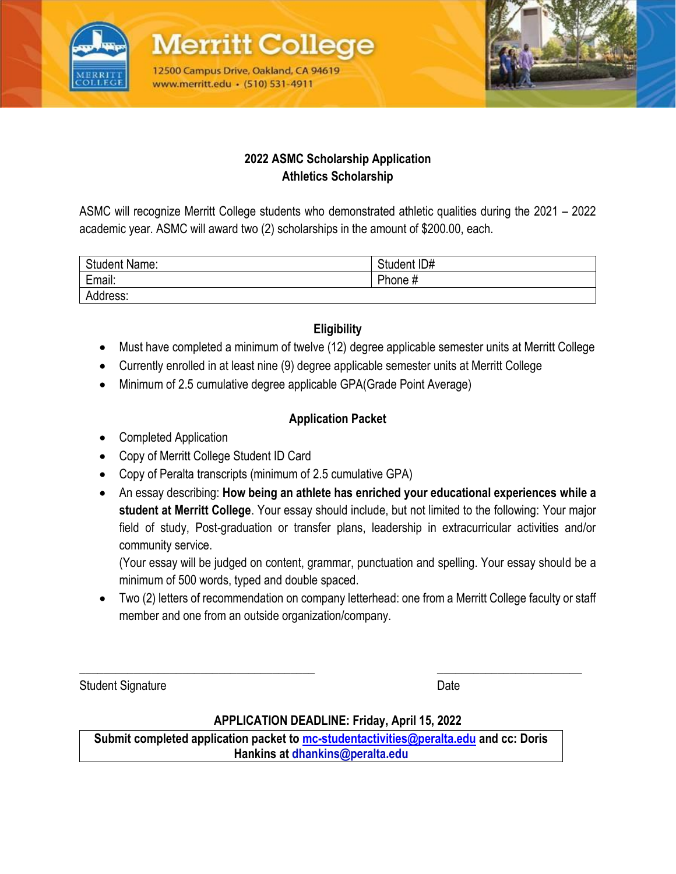

**Merritt Colle** 12500 Campus Drive, Oakland, CA 94619 www.merritt.edu • (510) 531-4911



#### **2022 ASMC Scholarship Application Athletics Scholarship**

ASMC will recognize Merritt College students who demonstrated athletic qualities during the 2021 – 2022 academic year. ASMC will award two (2) scholarships in the amount of \$200.00, each.

| <b>Student Name:</b> | Student ID# |
|----------------------|-------------|
| Email:               | Phone #     |
| Address:             |             |

## **Eligibility**

- Must have completed a minimum of twelve (12) degree applicable semester units at Merritt College
- Currently enrolled in at least nine (9) degree applicable semester units at Merritt College
- Minimum of 2.5 cumulative degree applicable GPA(Grade Point Average)

## **Application Packet**

- Completed Application
- Copy of Merritt College Student ID Card
- Copy of Peralta transcripts (minimum of 2.5 cumulative GPA)
- An essay describing: **How being an athlete has enriched your educational experiences while a student at Merritt College**. Your essay should include, but not limited to the following: Your major field of study, Post-graduation or transfer plans, leadership in extracurricular activities and/or community service.

(Your essay will be judged on content, grammar, punctuation and spelling. Your essay should be a minimum of 500 words, typed and double spaced.

• Two (2) letters of recommendation on company letterhead: one from a Merritt College faculty or staff member and one from an outside organization/company.

Student Signature Date Date Controllers and Date Date Date

## **APPLICATION DEADLINE: Friday, April 15, 2022**

\_\_\_\_\_\_\_\_\_\_\_\_\_\_\_\_\_\_\_\_\_\_\_\_\_\_\_\_\_\_\_\_\_\_\_\_\_\_\_ \_\_\_\_\_\_\_\_\_\_\_\_\_\_\_\_\_\_\_\_\_\_\_\_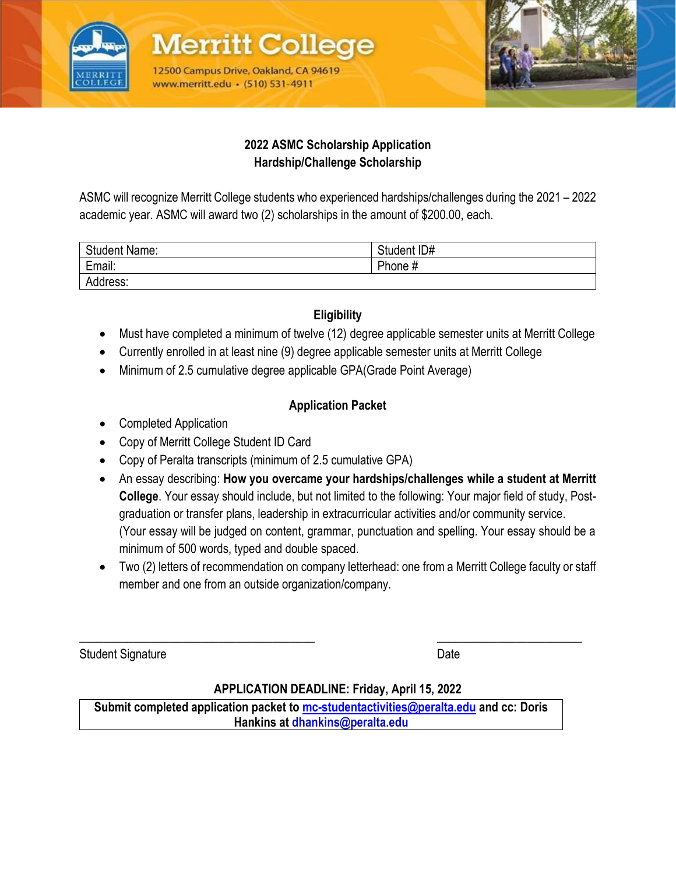

**Merritt Colleg** 12500 Campus Drive, Oakland, CA 94619 www.merritt.edu • (510) 531-4911



#### **2022 ASMC Scholarship Application Hardship/Challenge Scholarship**

ASMC will recognize Merritt College students who experienced hardships/challenges during the 2021 – 2022 academic year. ASMC will award two (2) scholarships in the amount of \$200.00, each.

| <b>Student Name:</b> | Student ID# |
|----------------------|-------------|
| Email:               | Phone #     |
| Address:             |             |

# **Eligibility**

- Must have completed a minimum of twelve (12) degree applicable semester units at Merritt College
- Currently enrolled in at least nine (9) degree applicable semester units at Merritt College
- Minimum of 2.5 cumulative degree applicable GPA(Grade Point Average)

## **Application Packet**

- Completed Application
- Copy of Merritt College Student ID Card
- Copy of Peralta transcripts (minimum of 2.5 cumulative GPA)
- An essay describing: **How you overcame your hardships/challenges while a student at Merritt College**. Your essay should include, but not limited to the following: Your major field of study, Postgraduation or transfer plans, leadership in extracurricular activities and/or community service. (Your essay will be judged on content, grammar, punctuation and spelling. Your essay should be a minimum of 500 words, typed and double spaced.
- Two (2) letters of recommendation on company letterhead: one from a Merritt College faculty or staff member and one from an outside organization/company.

Student Signature Date Date Controllers and Date Date Date

#### **APPLICATION DEADLINE: Friday, April 15, 2022**

\_\_\_\_\_\_\_\_\_\_\_\_\_\_\_\_\_\_\_\_\_\_\_\_\_\_\_\_\_\_\_\_\_\_\_\_\_\_\_ \_\_\_\_\_\_\_\_\_\_\_\_\_\_\_\_\_\_\_\_\_\_\_\_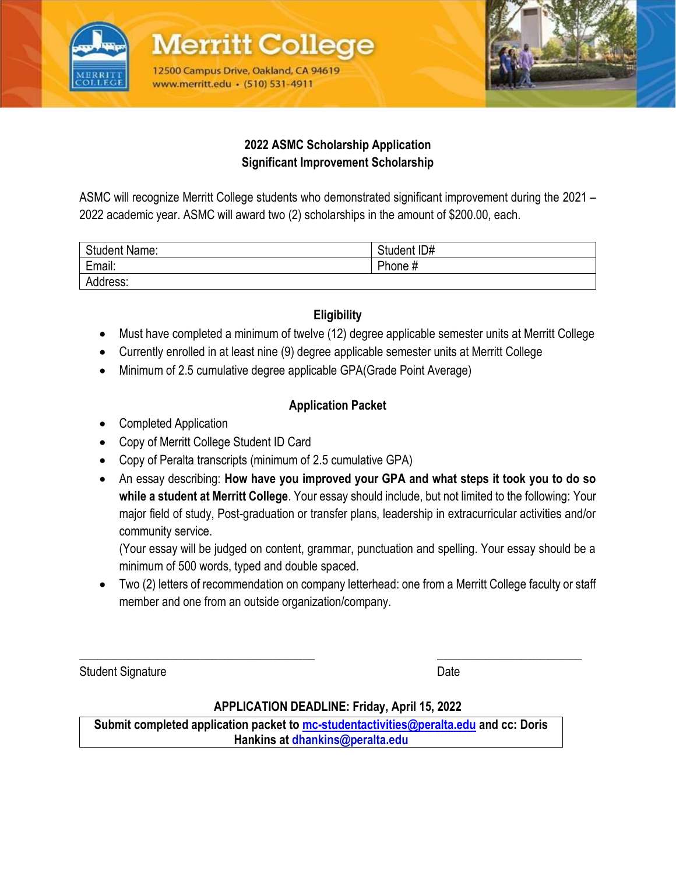

**Merritt Colleg** 12500 Campus Drive, Oakland, CA 94619 www.merritt.edu • (510) 531-4911



#### **2022 ASMC Scholarship Application Significant Improvement Scholarship**

ASMC will recognize Merritt College students who demonstrated significant improvement during the 2021 – 2022 academic year. ASMC will award two (2) scholarships in the amount of \$200.00, each.

| <b>Student Name:</b> | Student ID# |
|----------------------|-------------|
| Email:               | Phone #     |
| Address:             |             |

# **Eligibility**

- Must have completed a minimum of twelve (12) degree applicable semester units at Merritt College
- Currently enrolled in at least nine (9) degree applicable semester units at Merritt College
- Minimum of 2.5 cumulative degree applicable GPA(Grade Point Average)

## **Application Packet**

- Completed Application
- Copy of Merritt College Student ID Card
- Copy of Peralta transcripts (minimum of 2.5 cumulative GPA)
- An essay describing: **How have you improved your GPA and what steps it took you to do so while a student at Merritt College**. Your essay should include, but not limited to the following: Your major field of study, Post-graduation or transfer plans, leadership in extracurricular activities and/or community service.

(Your essay will be judged on content, grammar, punctuation and spelling. Your essay should be a minimum of 500 words, typed and double spaced.

• Two (2) letters of recommendation on company letterhead: one from a Merritt College faculty or staff member and one from an outside organization/company.

Student Signature Date Date Controllers and Date Date Date

## **APPLICATION DEADLINE: Friday, April 15, 2022**

 $\overline{\phantom{a}}$  , and the contribution of the contribution of the contribution of the contribution of the contribution of the contribution of the contribution of the contribution of the contribution of the contribution of the